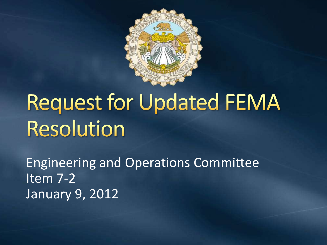

# **Request for Updated FEMA Resolution**

Engineering and Operations Committee Item 7-2 January 9, 2012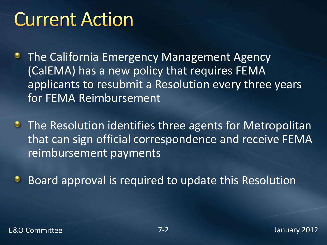### **Current Action**

- **The California Emergency Management Agency** (CalEMA) has a new policy that requires FEMA applicants to resubmit a Resolution every three years for FEMA Reimbursement
- **The Resolution identifies three agents for Metropolitan** that can sign official correspondence and receive FEMA reimbursement payments
- Board approval is required to update this Resolution٠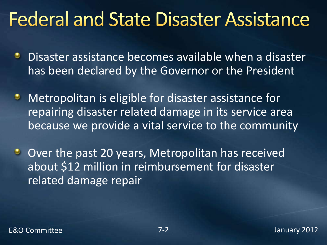### **Federal and State Disaster Assistance**

- Disaster assistance becomes available when a disaster has been declared by the Governor or the President
- Metropolitan is eligible for disaster assistance for ٠ repairing disaster related damage in its service area because we provide a vital service to the community
- Over the past 20 years, Metropolitan has received  $\bullet$ about \$12 million in reimbursement for disaster related damage repair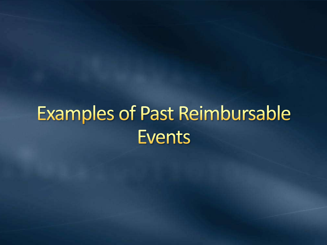# **Examples of Past Reimbursable Events**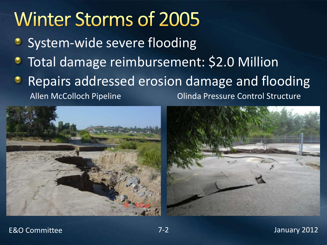# **Winter Storms of 2005**

- System-wide severe flooding
- Total damage reimbursement: \$2.0 Million
- Repairs addressed erosion damage and flooding

Allen McColloch Pipeline **Control Structure** Olinda Pressure Control Structure



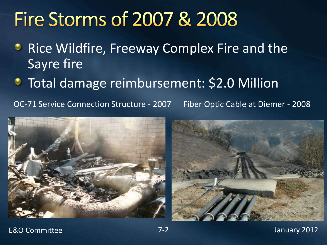### **Fire Storms of 2007 & 2008**

- **Rice Wildfire, Freeway Complex Fire and the** Sayre fire
- **Total damage reimbursement: \$2.0 Million**

OC-71 Service Connection Structure - 2007 Fiber Optic Cable at Diemer - 2008





#### E&O Committee 7-2 January 2012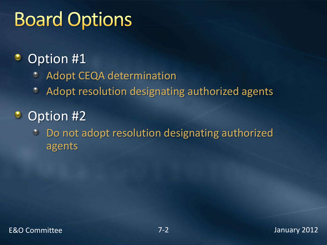# **Board Options**

#### Option #1 ಿ

- Adopt CEQA determination O
- Adopt resolution designating authorized agents ٠
- $\bullet$ Option #2
	- Do not adopt resolution designating authorized  $\bullet$ agents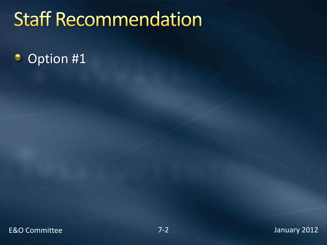# **Staff Recommendation**

#### Option #1۰